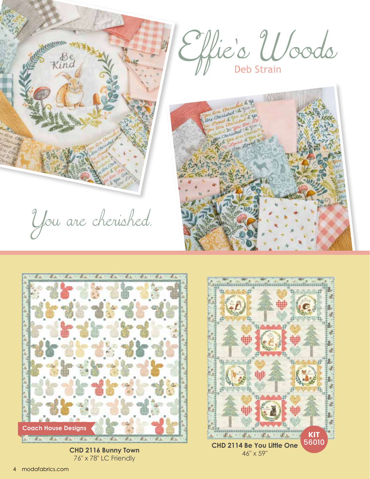



76" x 78" LC Friendly



modafabrics.com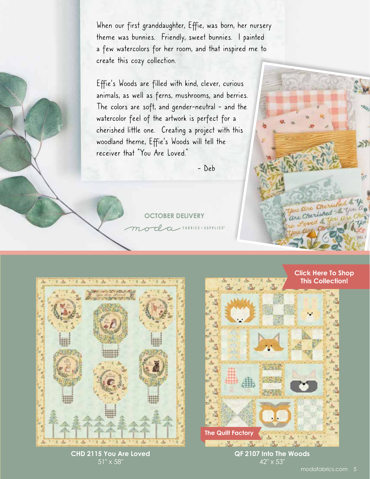When our first granddaughter, Effie, was born, her nursery theme was bunnies. Friendly, sweet bunnies. I painted a few watercolors for her room, and that inspired me to create this cozy collection.

Effie's Woods are filled with kind, clever, curious animals, as well as ferns, mushrooms, and berries. The colors are soft, and gender-neutral - and the watercolor feel of the artwork is perfect for a cherished little one. Creating a project with this woodland theme, Effie's Woods will tell the receiver that "You Are Loved."

- Deb

**OCTOBER DELIVERY**

da FABRICS + SUPPLIES



**CHD 2115 You Are Loved**  $51" \times 58"$ 



**QF 2107 Into The Woods** 42" x 53"

Cherio inhed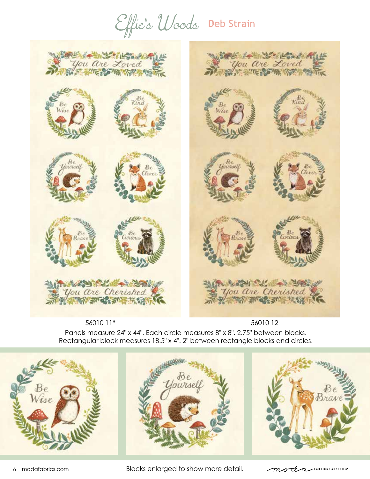Effic'o Woods Deb Strain



56010 11**\***

Panels measure 24" x 44". Each circle measures 8" x 8". 2.75" between blocks. Rectangular block measures 18.5" x 4". 2" between rectangle blocks and circles. 56010 12







6 modafabrics.com Blocks enlarged to show more detail.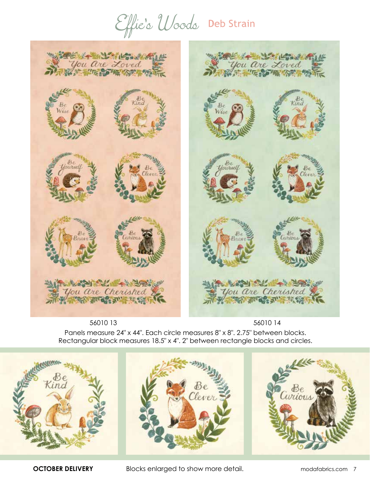Effie's Woods Deb Strain



56010 13

56010 14

Panels measure 24" x 44". Each circle measures 8" x 8". 2.75" between blocks. Rectangular block measures 18.5" x 4". 2" between rectangle blocks and circles.





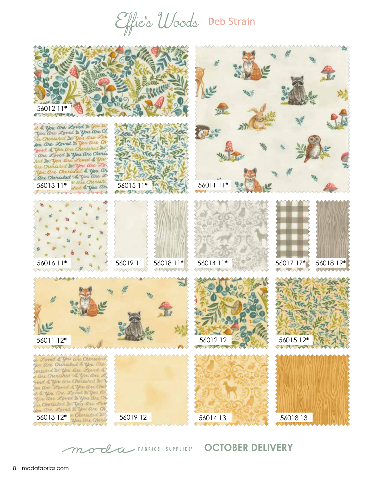Effic'o Woods Deb Strain



mode university october DELIVERY